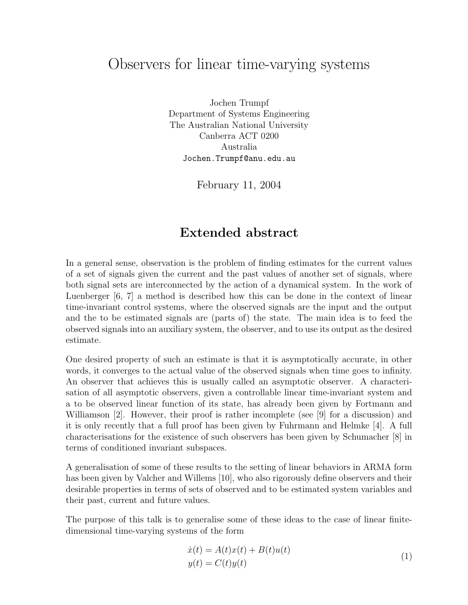## Observers for linear time-varying systems

Jochen Trumpf Department of Systems Engineering The Australian National University Canberra ACT 0200 Australia Jochen.Trumpf@anu.edu.au

February 11, 2004

## Extended abstract

In a general sense, observation is the problem of finding estimates for the current values of a set of signals given the current and the past values of another set of signals, where both signal sets are interconnected by the action of a dynamical system. In the work of Luenberger [6, 7] a method is described how this can be done in the context of linear time-invariant control systems, where the observed signals are the input and the output and the to be estimated signals are (parts of) the state. The main idea is to feed the observed signals into an auxiliary system, the observer, and to use its output as the desired estimate.

One desired property of such an estimate is that it is asymptotically accurate, in other words, it converges to the actual value of the observed signals when time goes to infinity. An observer that achieves this is usually called an asymptotic observer. A characterisation of all asymptotic observers, given a controllable linear time-invariant system and a to be observed linear function of its state, has already been given by Fortmann and Williamson [2]. However, their proof is rather incomplete (see [9] for a discussion) and it is only recently that a full proof has been given by Fuhrmann and Helmke [4]. A full characterisations for the existence of such observers has been given by Schumacher [8] in terms of conditioned invariant subspaces.

A generalisation of some of these results to the setting of linear behaviors in ARMA form has been given by Valcher and Willems [10], who also rigorously define observers and their desirable properties in terms of sets of observed and to be estimated system variables and their past, current and future values.

The purpose of this talk is to generalise some of these ideas to the case of linear finitedimensional time-varying systems of the form

$$
\begin{aligned} \dot{x}(t) &= A(t)x(t) + B(t)u(t) \\ y(t) &= C(t)y(t) \end{aligned} \tag{1}
$$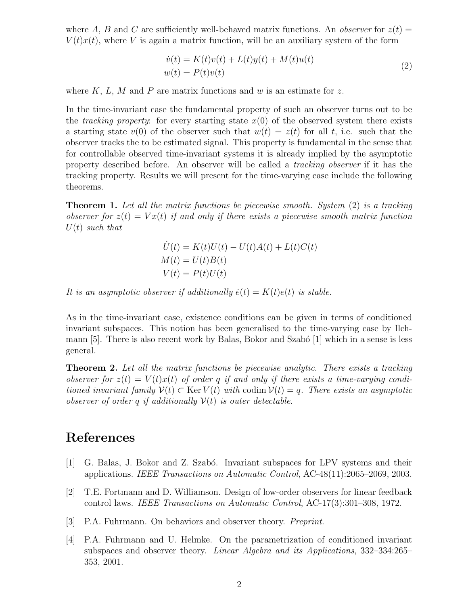where A, B and C are sufficiently well-behaved matrix functions. An *observer* for  $z(t)$  =  $V(t)x(t)$ , where V is again a matrix function, will be an auxiliary system of the form

$$
\dot{v}(t) = K(t)v(t) + L(t)y(t) + M(t)u(t)
$$
  

$$
w(t) = P(t)v(t)
$$
\n(2)

where  $K, L, M$  and P are matrix functions and w is an estimate for z.

In the time-invariant case the fundamental property of such an observer turns out to be the *tracking property*: for every starting state  $x(0)$  of the observed system there exists a starting state  $v(0)$  of the observer such that  $w(t) = z(t)$  for all t, i.e. such that the observer tracks the to be estimated signal. This property is fundamental in the sense that for controllable observed time-invariant systems it is already implied by the asymptotic property described before. An observer will be called a tracking observer if it has the tracking property. Results we will present for the time-varying case include the following theorems.

**Theorem 1.** Let all the matrix functions be piecewise smooth. System (2) is a tracking observer for  $z(t) = Vx(t)$  if and only if there exists a piecewise smooth matrix function  $U(t)$  such that

$$
\dot{U}(t) = K(t)U(t) - U(t)A(t) + L(t)C(t)
$$
  
\n
$$
M(t) = U(t)B(t)
$$
  
\n
$$
V(t) = P(t)U(t)
$$

It is an asymptotic observer if additionally  $\dot{e}(t) = K(t)e(t)$  is stable.

As in the time-invariant case, existence conditions can be given in terms of conditioned invariant subspaces. This notion has been generalised to the time-varying case by Ilchmann  $[5]$ . There is also recent work by Balas, Bokor and Szabó  $[1]$  which in a sense is less general.

**Theorem 2.** Let all the matrix functions be piecewise analytic. There exists a tracking observer for  $z(t) = V(t)x(t)$  of order q if and only if there exists a time-varying conditioned invariant family  $V(t) \subset \text{Ker } V(t)$  with codim  $V(t) = q$ . There exists an asymptotic observer of order q if additionally  $\mathcal{V}(t)$  is outer detectable.

## References

- [1] G. Balas, J. Bokor and Z. Szabó. Invariant subspaces for LPV systems and their applications. IEEE Transactions on Automatic Control, AC-48(11):2065–2069, 2003.
- [2] T.E. Fortmann and D. Williamson. Design of low-order observers for linear feedback control laws. IEEE Transactions on Automatic Control, AC-17(3):301–308, 1972.
- [3] P.A. Fuhrmann. On behaviors and observer theory. Preprint.
- [4] P.A. Fuhrmann and U. Helmke. On the parametrization of conditioned invariant subspaces and observer theory. Linear Algebra and its Applications, 332–334:265– 353, 2001.